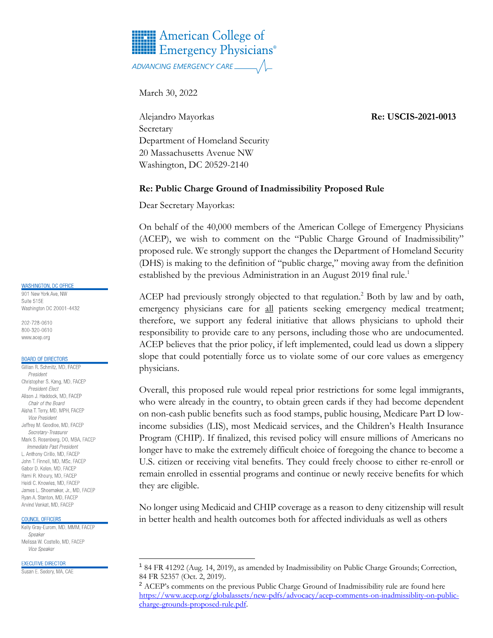# **HELE** American College of **HIM** Emergency Physicians<sup>®</sup>

March 30, 2022

Alejandro Mayorkas **Re: USCIS-2021-0013** Secretary Department of Homeland Security 20 Massachusetts Avenue NW Washington, DC 20529-2140

### **Re: Public Charge Ground of Inadmissibility Proposed Rule**

Dear Secretary Mayorkas:

On behalf of the 40,000 members of the American College of Emergency Physicians (ACEP), we wish to comment on the "Public Charge Ground of Inadmissibility" proposed rule. We strongly support the changes the Department of Homeland Security (DHS) is making to the definition of "public charge," moving away from the definition established by the previous Administration in an August 2019 final rule.<sup>1</sup>

ACEP had previously strongly objected to that regulation.<sup>2</sup> Both by law and by oath, emergency physicians care for all patients seeking emergency medical treatment; therefore, we support any federal initiative that allows physicians to uphold their responsibility to provide care to any persons, including those who are undocumented. ACEP believes that the prior policy, if left implemented, could lead us down a slippery slope that could potentially force us to violate some of our core values as emergency physicians.

Overall, this proposed rule would repeal prior restrictions for some legal immigrants, who were already in the country, to obtain green cards if they had become dependent on non-cash public benefits such as food stamps, public housing, Medicare Part D lowincome subsidies (LIS), most Medicaid services, and the Children's Health Insurance Program (CHIP). If finalized, this revised policy will ensure millions of Americans no longer have to make the extremely difficult choice of foregoing the chance to become a U.S. citizen or receiving vital benefits. They could freely choose to either re-enroll or remain enrolled in essential programs and continue or newly receive benefits for which they are eligible.

No longer using Medicaid and CHIP coverage as a reason to deny citizenship will result in better health and health outcomes both for affected individuals as well as others

#### **WASHINGTON, DC OFFICE**

901 New York Ave, NW Suite 515F Washington DC 20001-4432

202-728-0610 800-320-0610 www.acep.org

#### **BOARD OF DIRECTORS**

Gillian R. Schmitz, MD, FACEP President Christopher S. Kang, MD, FACEP President-Elect Alison J. Haddock, MD, FACEP Chair of the Board Aisha T. Terry, MD, MPH, FACEP *Vice President* Jeffrey M. Goodloe, MD, FACEP Secretary-Treasurer Mark S. Rosenberg, DO, MBA, FACEP Immediate Past President L. Anthony Cirillo, MD, FACEP John T. Finnell, MD, MSc, FACEP Gabor D. Kelen, MD, FACEP Rami R. Khoury, MD, FACEP Heidi C. Knowles, MD, FACEP James L. Shoemaker, Jr., MD, FACEP Ryan A. Stanton, MD, FACEP Arvind Venkat, MD, FACEP

#### COUNCIL OFFICERS

Kelly Gray-Eurom, MD, MMM, FACEP Sneaker Melissa W. Costello, MD, FACEP Vice Speaker

**EXECUTIVE DIRECTOR** 

Susan E. Sedory, MA, CAE

<sup>1</sup> 84 FR 41292 (Aug. 14, 2019), as amended by Inadmissibility on Public Charge Grounds; Correction, 84 FR 52357 (Oct. 2, 2019).

<sup>&</sup>lt;sup>2</sup> ACEP's comments on the previous Public Charge Ground of Inadmissibility rule are found here [https://www.acep.org/globalassets/new-pdfs/advocacy/acep-comments-on-inadmissiblity-on-public](https://www.acep.org/globalassets/new-pdfs/advocacy/acep-comments-on-inadmissiblity-on-public-charge-grounds-proposed-rule.pdf)[charge-grounds-proposed-rule.pdf.](https://www.acep.org/globalassets/new-pdfs/advocacy/acep-comments-on-inadmissiblity-on-public-charge-grounds-proposed-rule.pdf)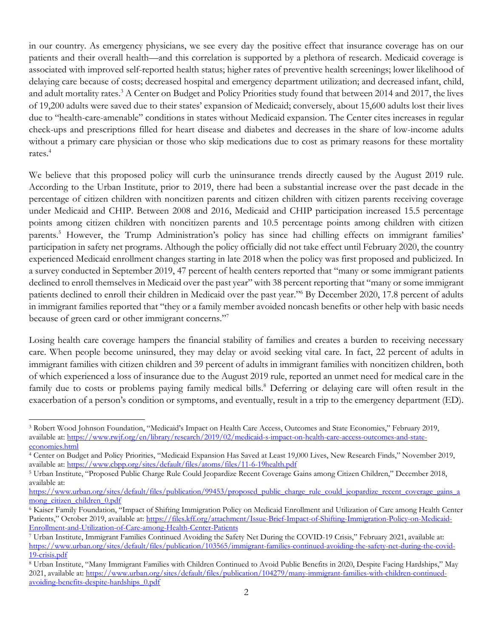in our country. As emergency physicians, we see every day the positive effect that insurance coverage has on our patients and their overall health—and this correlation is supported by a plethora of research. Medicaid coverage is associated with improved self-reported health status; higher rates of preventive health screenings; lower likelihood of delaying care because of costs; decreased hospital and emergency department utilization; and decreased infant, child, and adult mortality rates.<sup>3</sup> A Center on Budget and Policy Priorities study found that between 2014 and 2017, the lives of 19,200 adults were saved due to their states' expansion of Medicaid; conversely, about 15,600 adults lost their lives due to "health-care-amenable" conditions in states without Medicaid expansion. The Center cites increases in regular check-ups and prescriptions filled for heart disease and diabetes and decreases in the share of low-income adults without a primary care physician or those who skip medications due to cost as primary reasons for these mortality rates. 4

We believe that this proposed policy will curb the uninsurance trends directly caused by the August 2019 rule. According to the Urban Institute, prior to 2019, there had been a substantial increase over the past decade in the percentage of citizen children with noncitizen parents and citizen children with citizen parents receiving coverage under Medicaid and CHIP. Between 2008 and 2016, Medicaid and CHIP participation increased 15.5 percentage points among citizen children with noncitizen parents and 10.5 percentage points among children with citizen parents.<sup>5</sup> However, the Trump Administration's policy has since had chilling effects on immigrant families' participation in safety net programs. Although the policy officially did not take effect until February 2020, the country experienced Medicaid enrollment changes starting in late 2018 when the policy was first proposed and publicized. In a survey conducted in September 2019, 47 percent of health centers reported that "many or some immigrant patients declined to enroll themselves in Medicaid over the past year" with 38 percent reporting that "many or some immigrant patients declined to enroll their children in Medicaid over the past year." By December 2020, 17.8 percent of adults in immigrant families reported that "they or a family member avoided noncash benefits or other help with basic needs because of green card or other immigrant concerns."<sup>7</sup>

Losing health care coverage hampers the financial stability of families and creates a burden to receiving necessary care. When people become uninsured, they may delay or avoid seeking vital care. In fact, 22 percent of adults in immigrant families with citizen children and 39 percent of adults in immigrant families with noncitizen children, both of which experienced a loss of insurance due to the August 2019 rule, reported an unmet need for medical care in the family due to costs or problems paying family medical bills.<sup>8</sup> Deferring or delaying care will often result in the exacerbation of a person's condition or symptoms, and eventually, result in a trip to the emergency department (ED).

<sup>3</sup> Robert Wood Johnson Foundation, "Medicaid's Impact on Health Care Access, Outcomes and State Economies," February 2019, available at: [https://www.rwjf.org/en/library/research/2019/02/medicaid-s-impact-on-health-care-access-outcomes-and-state](https://www.rwjf.org/en/library/research/2019/02/medicaid-s-impact-on-health-care-access-outcomes-and-state-economies.html)[economies.html](https://www.rwjf.org/en/library/research/2019/02/medicaid-s-impact-on-health-care-access-outcomes-and-state-economies.html)

<sup>4</sup> Center on Budget and Policy Priorities, "Medicaid Expansion Has Saved at Least 19,000 Lives, New Research Finds," November 2019, available at:<https://www.cbpp.org/sites/default/files/atoms/files/11-6-19health.pdf>

<sup>5</sup> Urban Institute, "Proposed Public Charge Rule Could Jeopardize Recent Coverage Gains among Citizen Children," December 2018, available at:

[https://www.urban.org/sites/default/files/publication/99453/proposed\\_public\\_charge\\_rule\\_could\\_jeopardize\\_recent\\_coverage\\_gains\\_a](https://www.urban.org/sites/default/files/publication/99453/proposed_public_charge_rule_could_jeopardize_recent_coverage_gains_among_citizen_children_0.pdf) [mong\\_citizen\\_children\\_0.pdf](https://www.urban.org/sites/default/files/publication/99453/proposed_public_charge_rule_could_jeopardize_recent_coverage_gains_among_citizen_children_0.pdf)

<sup>6</sup> Kaiser Family Foundation, "Impact of Shifting Immigration Policy on Medicaid Enrollment and Utilization of Care among Health Center Patients," October 2019, available at: [https://files.kff.org/attachment/Issue-Brief-Impact-of-Shifting-Immigration-Policy-on-Medicaid-](https://files.kff.org/attachment/Issue-Brief-Impact-of-Shifting-Immigration-Policy-on-Medicaid-Enrollment-and-Utilization-of-Care-among-Health-Center-Patients)[Enrollment-and-Utilization-of-Care-among-Health-Center-Patients](https://files.kff.org/attachment/Issue-Brief-Impact-of-Shifting-Immigration-Policy-on-Medicaid-Enrollment-and-Utilization-of-Care-among-Health-Center-Patients)

<sup>7</sup> Urban Institute, Immigrant Families Continued Avoiding the Safety Net During the COVID-19 Crisis," February 2021, available at: [https://www.urban.org/sites/default/files/publication/103565/immigrant-families-continued-avoiding-the-safety-net-during-the-covid-](https://www.urban.org/sites/default/files/publication/103565/immigrant-families-continued-avoiding-the-safety-net-during-the-covid-19-crisis.pdf)[19-crisis.pdf](https://www.urban.org/sites/default/files/publication/103565/immigrant-families-continued-avoiding-the-safety-net-during-the-covid-19-crisis.pdf)

<sup>8</sup> Urban Institute, "Many Immigrant Families with Children Continued to Avoid Public Benefits in 2020, Despite Facing Hardships," May 2021, available at[: https://www.urban.org/sites/default/files/publication/104279/many-immigrant-families-with-children-continued](https://www.urban.org/sites/default/files/publication/104279/many-immigrant-families-with-children-continued-avoiding-benefits-despite-hardships_0.pdf)[avoiding-benefits-despite-hardships\\_0.pdf](https://www.urban.org/sites/default/files/publication/104279/many-immigrant-families-with-children-continued-avoiding-benefits-despite-hardships_0.pdf)